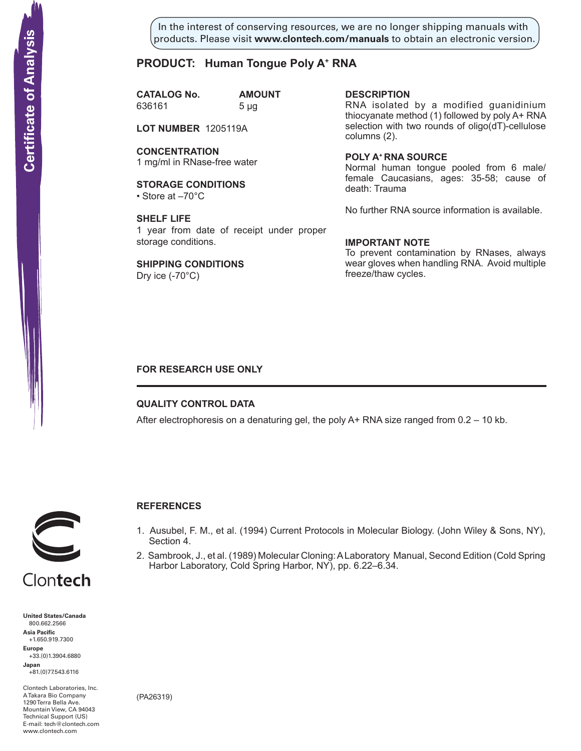In the interest of conserving resources, we are no longer shipping manuals with products. Please visit **www.clontech.com/manuals** to obtain an electronic version.

# **PRODUCT: Human Tongue Poly A+ RNA**

**CATALOG No. AMOUNT** 636161 5 µg

**LOT NUMBER** 1205119A

**CONCENTRATION** 1 mg/ml in RNase-free water

**STORAGE CONDITIONS** • Store at –70°C

**SHELF LIFE** 1 year from date of receipt under proper storage conditions.

**SHIPPING CONDITIONS** Dry ice (-70°C)

**description**

RNA isolated by a modified guanidinium thiocyanate method (1) followed by poly A+ RNA selection with two rounds of oligo(dT)-cellulose columns (2).

**Poly a+ RNA source** Normal human tongue pooled from 6 male/ female Caucasians, ages: 35-58; cause of death: Trauma

No further RNA source information is available.

### **IMPORTANT NOTE**

To prevent contamination by RNases, always wear gloves when handling RNA. Avoid multiple freeze/thaw cycles.

# **FOR RESEARCH USE ONLY**

# **QUALITY CONTROL DATA**

After electrophoresis on a denaturing gel, the poly  $A+$  RNA size ranged from  $0.2 - 10$  kb.



# **References**

- 1. Ausubel, F. M., et al. (1994) Current Protocols in Molecular Biology. (John Wiley & Sons, NY), Section 4.
- 2. Sambrook, J., et al. (1989) Molecular Cloning:ALaboratory Manual, Second Edition (Cold Spring Harbor Laboratory, Cold Spring Harbor, NY), pp. 6.22–6.34.

**United States/Canada** 800.662.2566 **Asia Pacific** +1.650.919.7300 **Europe** +33.(0)1.3904.6880 **Japan** +81.(0)77.543.6116 **Solution Control Control Control Control Control Control Control Control Control Control Control Control Control Control Control Control Control Control Control Control Control Control Control Control Control Control Cont** 

Clontech Laboratories, Inc. A Takara Bio Company 1290 Terra Bella Ave. Mountain View, CA 94043 Technical Support (US) E-mail: tech@clontech.com

(PA26319)